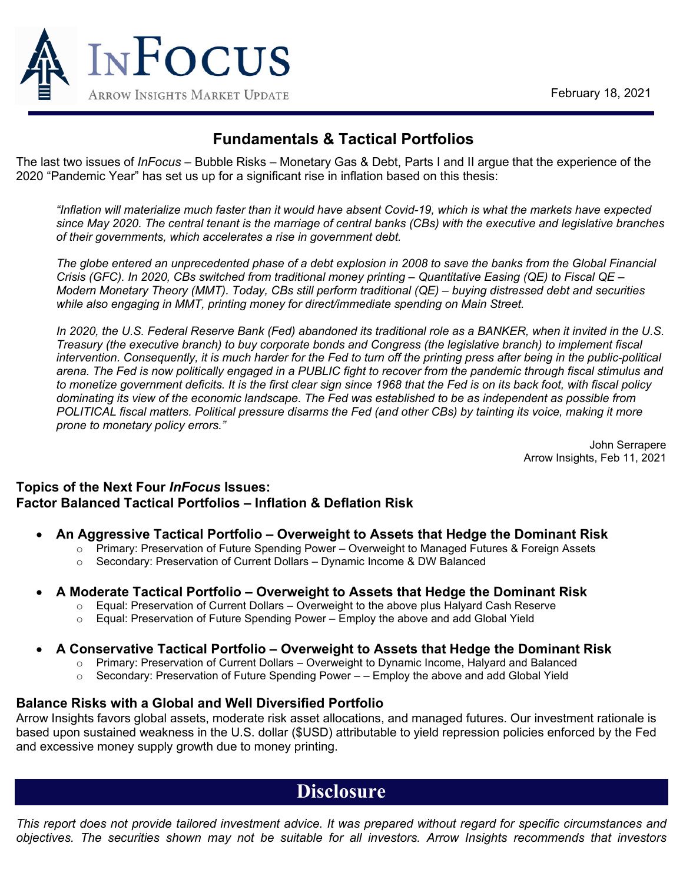

## **Fundamentals & Tactical Portfolios**

The last two issues of *InFocus* – Bubble Risks – Monetary Gas & Debt, Parts I and II argue that the experience of the 2020 "Pandemic Year" has set us up for a significant rise in inflation based on this thesis:

*"Inflation will materialize much faster than it would have absent Covid-19, which is what the markets have expected since May 2020. The central tenant is the marriage of central banks (CBs) with the executive and legislative branches of their governments, which accelerates a rise in government debt.* 

*The globe entered an unprecedented phase of a debt explosion in 2008 to save the banks from the Global Financial Crisis (GFC). In 2020, CBs switched from traditional money printing – Quantitative Easing (QE) to Fiscal QE – Modern Monetary Theory (MMT). Today, CBs still perform traditional (QE) – buying distressed debt and securities while also engaging in MMT, printing money for direct/immediate spending on Main Street.* 

In 2020, the U.S. Federal Reserve Bank (Fed) abandoned its traditional role as a BANKER, when it invited in the U.S. *Treasury (the executive branch) to buy corporate bonds and Congress (the legislative branch) to implement fiscal intervention. Consequently, it is much harder for the Fed to turn off the printing press after being in the public-political arena. The Fed is now politically engaged in a PUBLIC fight to recover from the pandemic through fiscal stimulus and to monetize government deficits. It is the first clear sign since 1968 that the Fed is on its back foot, with fiscal policy dominating its view of the economic landscape. The Fed was established to be as independent as possible from POLITICAL fiscal matters. Political pressure disarms the Fed (and other CBs) by tainting its voice, making it more prone to monetary policy errors."* 

> John Serrapere Arrow Insights, Feb 11, 2021

### **Topics of the Next Four** *InFocus* **Issues: Factor Balanced Tactical Portfolios – Inflation & Deflation Risk**

- **An Aggressive Tactical Portfolio – Overweight to Assets that Hedge the Dominant Risk**
	- $\circ$  Primary: Preservation of Future Spending Power Overweight to Managed Futures & Foreign Assets
	- o Secondary: Preservation of Current Dollars Dynamic Income & DW Balanced

#### • **A Moderate Tactical Portfolio – Overweight to Assets that Hedge the Dominant Risk**

- o Equal: Preservation of Current Dollars Overweight to the above plus Halyard Cash Reserve
- o Equal: Preservation of Future Spending Power Employ the above and add Global Yield

#### • **A Conservative Tactical Portfolio – Overweight to Assets that Hedge the Dominant Risk**

- o Primary: Preservation of Current Dollars Overweight to Dynamic Income, Halyard and Balanced<br>○ Secondary: Preservation of Future Spending Power – Employ the above and add Global Yield
- Secondary: Preservation of Future Spending Power – Employ the above and add Global Yield

#### **Balance Risks with a Global and Well Diversified Portfolio**

Arrow Insights favors global assets, moderate risk asset allocations, and managed futures. Our investment rationale is based upon sustained weakness in the U.S. dollar (\$USD) attributable to yield repression policies enforced by the Fed and excessive money supply growth due to money printing.

# **Disclosure**

*This report does not provide tailored investment advice. It was prepared without regard for specific circumstances and objectives. The securities shown may not be suitable for all investors. Arrow Insights recommends that investors*